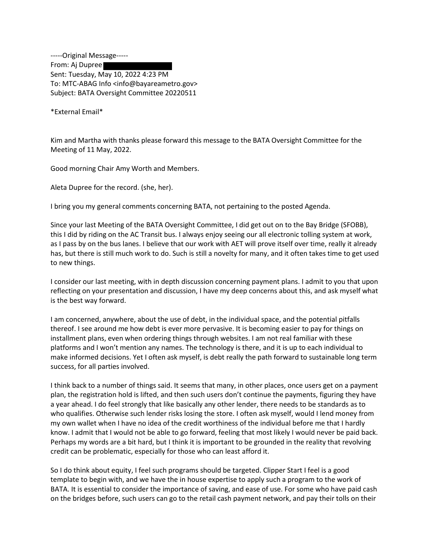-----Original Message----- From: Aj Dupree Sent: Tuesday, May 10, 2022 4:23 PM To: MTC-ABAG Info <info@bayareametro.gov> Subject: BATA Oversight Committee 20220511

\*External Email\*

Kim and Martha with thanks please forward this message to the BATA Oversight Committee for the Meeting of 11 May, 2022.

Good morning Chair Amy Worth and Members.

Aleta Dupree for the record. (she, her).

I bring you my general comments concerning BATA, not pertaining to the posted Agenda.

Since your last Meeting of the BATA Oversight Committee, I did get out on to the Bay Bridge (SFOBB), this I did by riding on the AC Transit bus. I always enjoy seeing our all electronic tolling system at work, as I pass by on the bus lanes. I believe that our work with AET will prove itself over time, really it already has, but there is still much work to do. Such is still a novelty for many, and it often takes time to get used to new things.

I consider our last meeting, with in depth discussion concerning payment plans. I admit to you that upon reflecting on your presentation and discussion, I have my deep concerns about this, and ask myself what is the best way forward.

I am concerned, anywhere, about the use of debt, in the individual space, and the potential pitfalls thereof. I see around me how debt is ever more pervasive. It is becoming easier to pay for things on installment plans, even when ordering things through websites. I am not real familiar with these platforms and I won't mention any names. The technology is there, and it is up to each individual to make informed decisions. Yet I often ask myself, is debt really the path forward to sustainable long term success, for all parties involved.

I think back to a number of things said. It seems that many, in other places, once users get on a payment plan, the registration hold is lifted, and then such users don't continue the payments, figuring they have a year ahead. I do feel strongly that like basically any other lender, there needs to be standards as to who qualifies. Otherwise such lender risks losing the store. I often ask myself, would I lend money from my own wallet when I have no idea of the credit worthiness of the individual before me that I hardly know. I admit that I would not be able to go forward, feeling that most likely I would never be paid back. Perhaps my words are a bit hard, but I think it is important to be grounded in the reality that revolving credit can be problematic, especially for those who can least afford it.

So I do think about equity, I feel such programs should be targeted. Clipper Start I feel is a good template to begin with, and we have the in house expertise to apply such a program to the work of BATA. It is essential to consider the importance of saving, and ease of use. For some who have paid cash on the bridges before, such users can go to the retail cash payment network, and pay their tolls on their